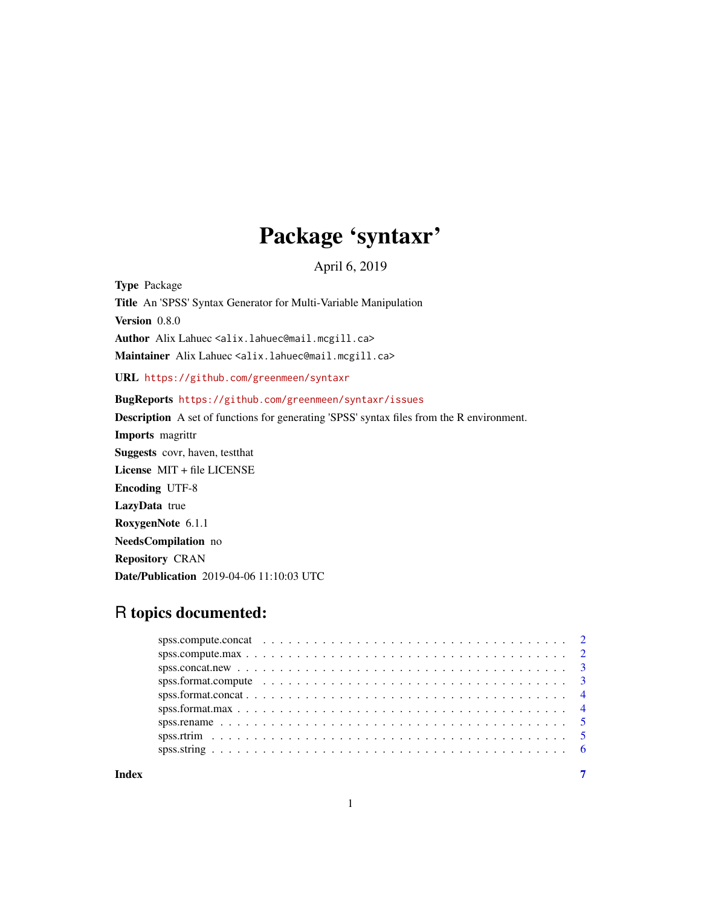# Package 'syntaxr'

April 6, 2019

Type Package Title An 'SPSS' Syntax Generator for Multi-Variable Manipulation Version 0.8.0 Author Alix Lahuec <alix.lahuec@mail.mcgill.ca> Maintainer Alix Lahuec <alix.lahuec@mail.mcgill.ca> URL <https://github.com/greenmeen/syntaxr> BugReports <https://github.com/greenmeen/syntaxr/issues> Description A set of functions for generating 'SPSS' syntax files from the R environment. Imports magrittr Suggests covr, haven, testthat License MIT + file LICENSE Encoding UTF-8 LazyData true RoxygenNote 6.1.1 NeedsCompilation no Repository CRAN Date/Publication 2019-04-06 11:10:03 UTC

## R topics documented:

| spss.format.compute $\ldots \ldots \ldots \ldots \ldots \ldots \ldots \ldots \ldots \ldots \ldots \ldots$ |  |  |  |  |  |  |  |  |  |  |  |  |  |  |  |  |  |
|-----------------------------------------------------------------------------------------------------------|--|--|--|--|--|--|--|--|--|--|--|--|--|--|--|--|--|
|                                                                                                           |  |  |  |  |  |  |  |  |  |  |  |  |  |  |  |  |  |
|                                                                                                           |  |  |  |  |  |  |  |  |  |  |  |  |  |  |  |  |  |
|                                                                                                           |  |  |  |  |  |  |  |  |  |  |  |  |  |  |  |  |  |
|                                                                                                           |  |  |  |  |  |  |  |  |  |  |  |  |  |  |  |  |  |
|                                                                                                           |  |  |  |  |  |  |  |  |  |  |  |  |  |  |  |  |  |

1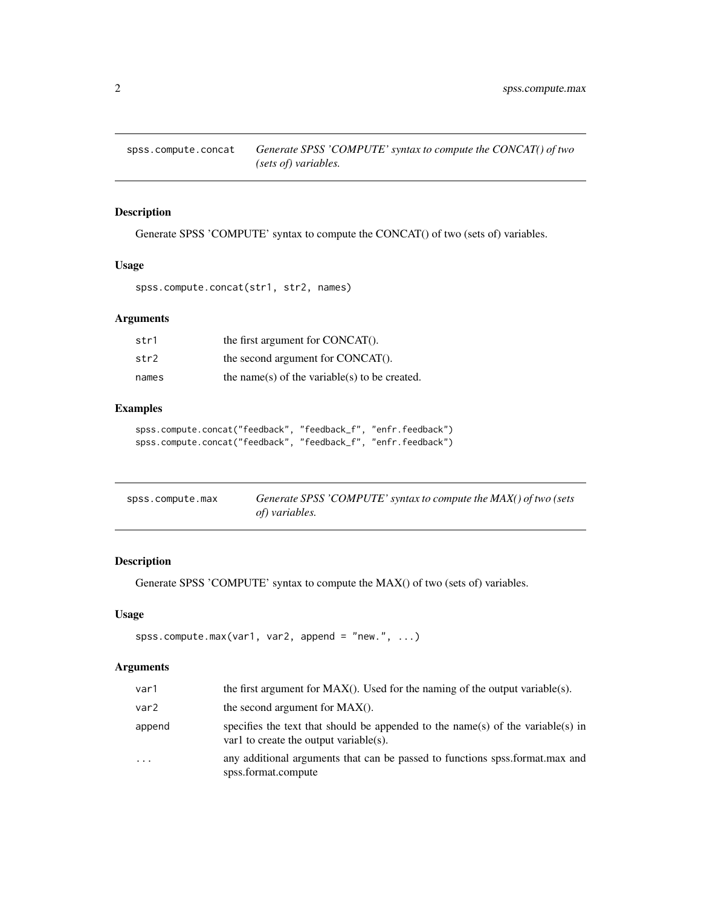<span id="page-1-0"></span>

## Description

Generate SPSS 'COMPUTE' syntax to compute the CONCAT() of two (sets of) variables.

## Usage

spss.compute.concat(str1, str2, names)

## Arguments

| str1  | the first argument for CONCAT().              |
|-------|-----------------------------------------------|
| str2  | the second argument for CONCAT().             |
| names | the name(s) of the variable(s) to be created. |

## Examples

```
spss.compute.concat("feedback", "feedback_f", "enfr.feedback")
spss.compute.concat("feedback", "feedback_f", "enfr.feedback")
```

| spss.compute.max | Generate SPSS 'COMPUTE' syntax to compute the MAX() of two (sets |  |
|------------------|------------------------------------------------------------------|--|
|                  | of) variables.                                                   |  |

## Description

Generate SPSS 'COMPUTE' syntax to compute the MAX() of two (sets of) variables.

## Usage

```
spss.compute.max(var1, var2, append = "new.", \dots)
```
## Arguments

| var1     | the first argument for $MAX()$ . Used for the naming of the output variable(s).                                           |
|----------|---------------------------------------------------------------------------------------------------------------------------|
| var2     | the second argument for $MAX()$ .                                                                                         |
| append   | specifies the text that should be appended to the name(s) of the variable(s) in<br>var1 to create the output variable(s). |
| $\cdots$ | any additional arguments that can be passed to functions spss.format.max and<br>spss.format.compute                       |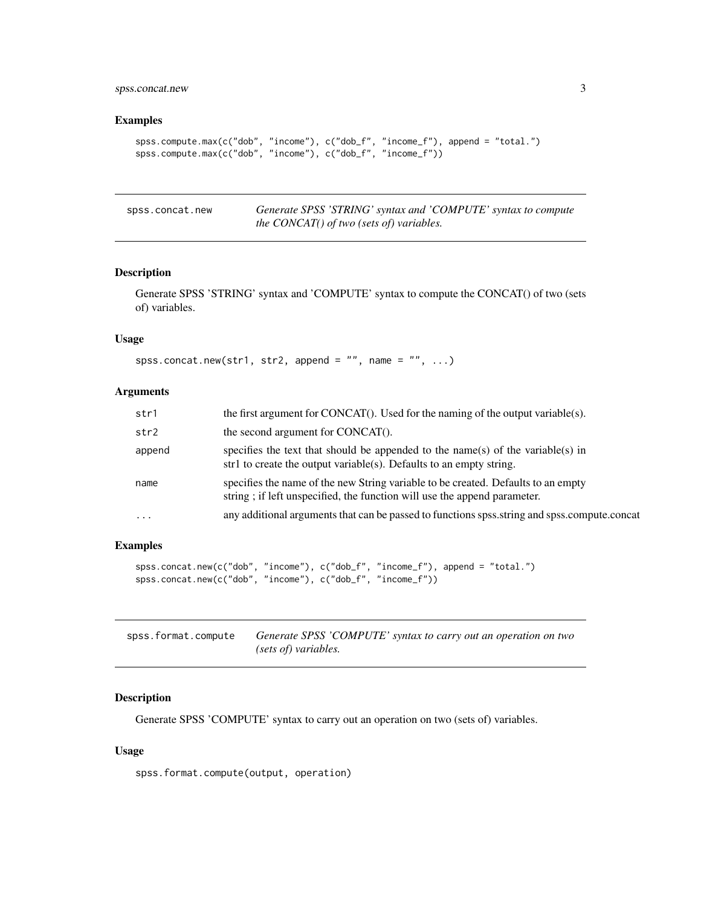## <span id="page-2-0"></span>spss.concat.new 3

#### Examples

```
spss.compute.max(c("dob", "income"), c("dob_f", "income_f"), append = "total.")
spss.compute.max(c("dob", "income"), c("dob_f", "income_f"))
```

| spss.concat.new | Generate SPSS 'STRING' syntax and 'COMPUTE' syntax to compute |
|-----------------|---------------------------------------------------------------|
|                 | <i>the CONCAT() of two (sets of) variables.</i>               |

#### Description

Generate SPSS 'STRING' syntax and 'COMPUTE' syntax to compute the CONCAT() of two (sets of) variables.

## Usage

```
spss.concat.new(str1, str2, append = ", name = ", ...)
```
#### Arguments

| str1     | the first argument for CONCAT $()$ . Used for the naming of the output variable $(s)$ .                                                                       |
|----------|---------------------------------------------------------------------------------------------------------------------------------------------------------------|
| str2     | the second argument for CONCAT().                                                                                                                             |
| append   | specifies the text that should be appended to the name(s) of the variable(s) in<br>str1 to create the output variable(s). Defaults to an empty string.        |
| name     | specifies the name of the new String variable to be created. Defaults to an empty<br>string; if left unspecified, the function will use the append parameter. |
| $\cdots$ | any additional arguments that can be passed to functions spss.string and spss.compute.concat                                                                  |

#### Examples

```
spss.concat.new(c("dob", "income"), c("dob_f", "income_f"), append = "total.")
spss.concat.new(c("dob", "income"), c("dob_f", "income_f"))
```

| spss.format.compute | Generate SPSS 'COMPUTE' syntax to carry out an operation on two |
|---------------------|-----------------------------------------------------------------|
|                     | (sets of) variables.                                            |

## Description

Generate SPSS 'COMPUTE' syntax to carry out an operation on two (sets of) variables.

#### Usage

spss.format.compute(output, operation)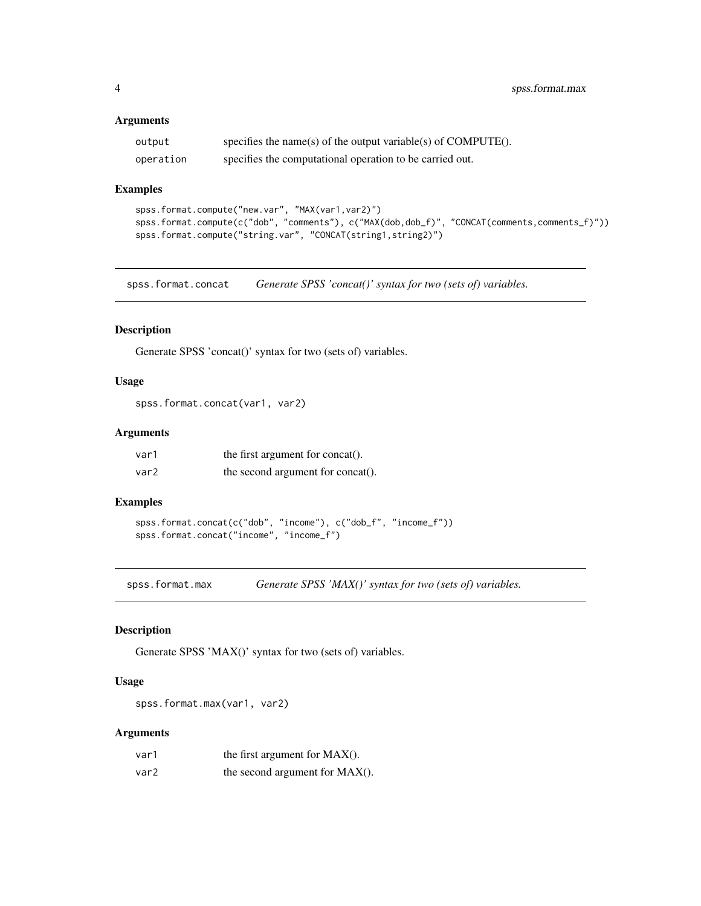#### <span id="page-3-0"></span>Arguments

| output    | specifies the name(s) of the output variable(s) of $COMPUTE()$ . |
|-----------|------------------------------------------------------------------|
| operation | specifies the computational operation to be carried out.         |

#### Examples

```
spss.format.compute("new.var", "MAX(var1,var2)")
spss.format.compute(c("dob", "comments"), c("MAX(dob,dob_f)", "CONCAT(comments,comments_f)"))
spss.format.compute("string.var", "CONCAT(string1,string2)")
```
spss.format.concat *Generate SPSS 'concat()' syntax for two (sets of) variables.*

## Description

Generate SPSS 'concat()' syntax for two (sets of) variables.

#### Usage

spss.format.concat(var1, var2)

## Arguments

| var1 | the first argument for concat().  |
|------|-----------------------------------|
| var2 | the second argument for concat(). |

#### Examples

```
spss.format.concat(c("dob", "income"), c("dob_f", "income_f"))
spss.format.concat("income", "income_f")
```
spss.format.max *Generate SPSS 'MAX()' syntax for two (sets of) variables.*

#### Description

Generate SPSS 'MAX()' syntax for two (sets of) variables.

#### Usage

spss.format.max(var1, var2)

#### Arguments

| var1 | the first argument for $MAX()$ . |
|------|----------------------------------|
| var2 | the second argument for MAX().   |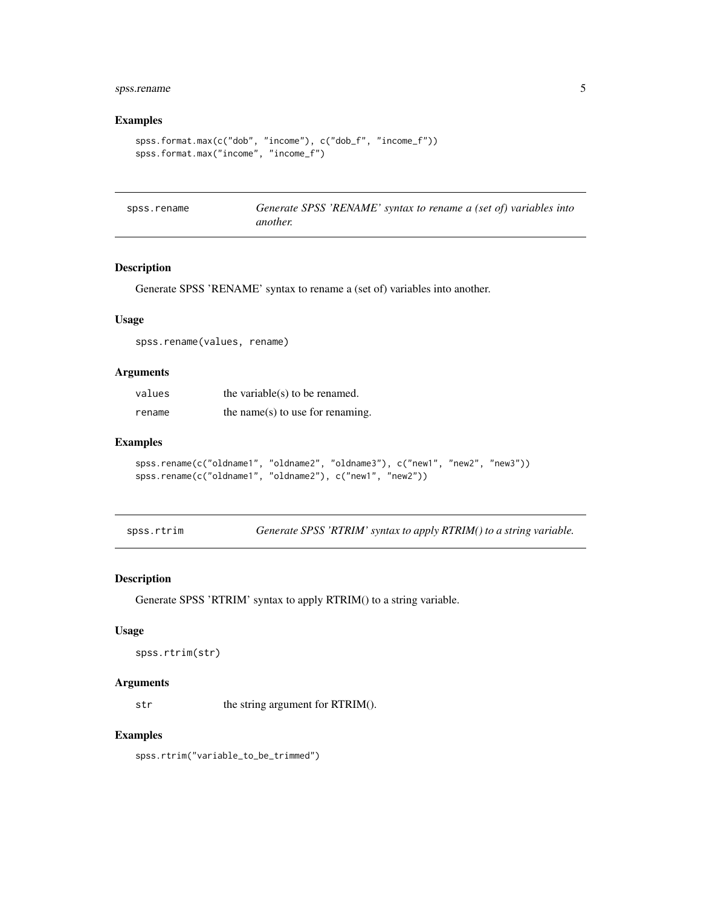## <span id="page-4-0"></span>spss.rename 5

## Examples

```
spss.format.max(c("dob", "income"), c("dob_f", "income_f"))
spss.format.max("income", "income_f")
```

| spss.rename | Generate SPSS 'RENAME' syntax to rename a (set of) variables into |  |  |  |
|-------------|-------------------------------------------------------------------|--|--|--|
|             | another.                                                          |  |  |  |

## Description

Generate SPSS 'RENAME' syntax to rename a (set of) variables into another.

## Usage

spss.rename(values, rename)

## Arguments

| values | the variable( $s$ ) to be renamed. |
|--------|------------------------------------|
| rename | the name(s) to use for renaming.   |

#### Examples

```
spss.rename(c("oldname1", "oldname2", "oldname3"), c("new1", "new2", "new3"))
spss.rename(c("oldname1", "oldname2"), c("new1", "new2"))
```
spss.rtrim *Generate SPSS 'RTRIM' syntax to apply RTRIM() to a string variable.*

## Description

Generate SPSS 'RTRIM' syntax to apply RTRIM() to a string variable.

#### Usage

```
spss.rtrim(str)
```
#### Arguments

str the string argument for RTRIM().

## Examples

spss.rtrim("variable\_to\_be\_trimmed")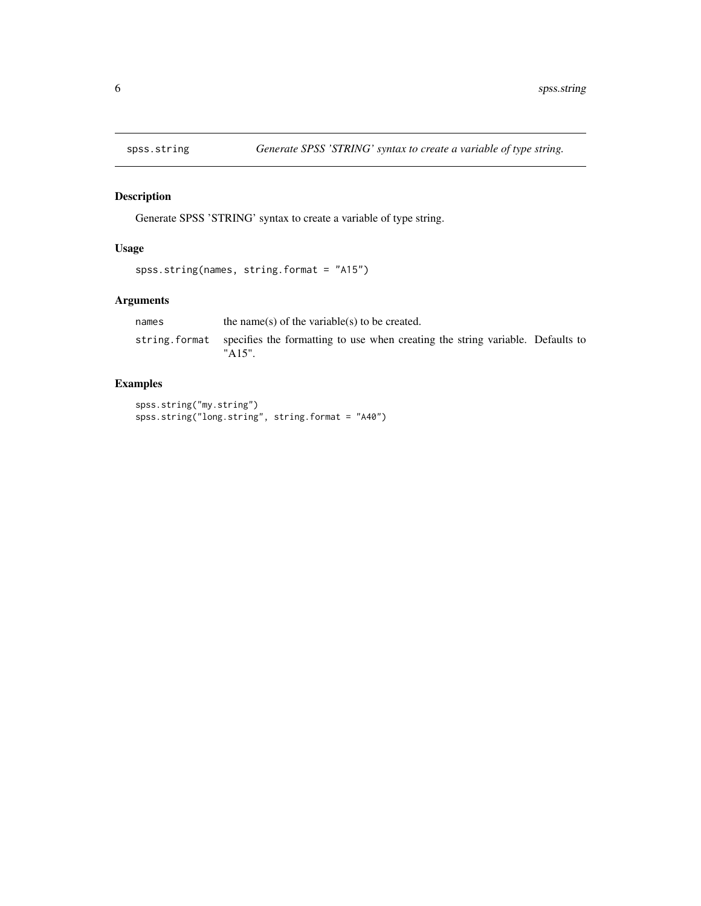<span id="page-5-0"></span>

## Description

Generate SPSS 'STRING' syntax to create a variable of type string.

## Usage

```
spss.string(names, string.format = "A15")
```
## Arguments

| names | the name(s) of the variable(s) to be created.                                                             |  |
|-------|-----------------------------------------------------------------------------------------------------------|--|
|       | string format specifies the formatting to use when creating the string variable. Defaults to<br>$"A15"$ . |  |

## Examples

```
spss.string("my.string")
spss.string("long.string", string.format = "A40")
```